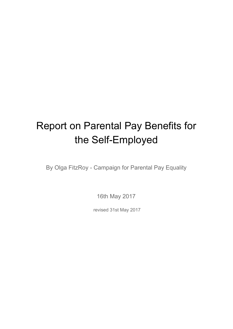# Report on Parental Pay Benefits for the Self-Employed

By Olga FitzRoy - Campaign for Parental Pay Equality

16th May 2017

revised 31st May 2017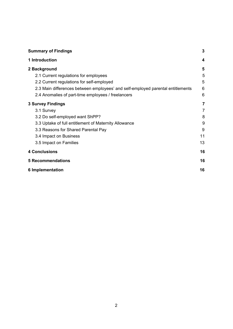| <b>Summary of Findings</b>                                                      | 3  |
|---------------------------------------------------------------------------------|----|
| 1 Introduction                                                                  | 4  |
| 2 Background                                                                    | 5  |
| 2.1 Current regulations for employees                                           | 5  |
| 2.2 Current regulations for self-employed                                       | 5  |
| 2.3 Main differences between employees' and self-employed parental entitlements | 6  |
| 2.4 Anomalies of part-time employees / freelancers                              | 6  |
| <b>3 Survey Findings</b>                                                        | 7  |
| 3.1 Survey                                                                      | 7  |
| 3.2 Do self-employed want ShPP?                                                 | 8  |
| 3.3 Uptake of full entitlement of Maternity Allowance                           | 9  |
| 3.3 Reasons for Shared Parental Pay                                             | 9  |
| 3.4 Impact on Business                                                          | 11 |
| 3.5 Impact on Families                                                          | 13 |
| <b>4 Conclusions</b>                                                            | 16 |
| <b>5 Recommendations</b>                                                        | 16 |
| <b>6 Implementation</b>                                                         | 16 |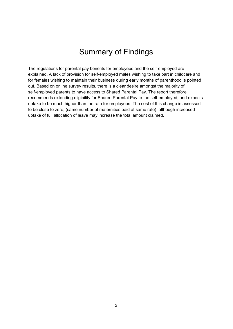### Summary of Findings

<span id="page-2-0"></span>The regulations for parental pay benefits for employees and the self-employed are explained. A lack of provision for self-employed males wishing to take part in childcare and for females wishing to maintain their business during early months of parenthood is pointed out. Based on online survey results, there is a clear desire amongst the majority of self-employed parents to have access to Shared Parental Pay. The report therefore recommends extending eligibility for Shared Parental Pay to the self-employed, and expects uptake to be much higher than the rate for employees. The cost of this change is assessed to be close to zero, (same number of maternities paid at same rate) although increased uptake of full allocation of leave may increase the total amount claimed.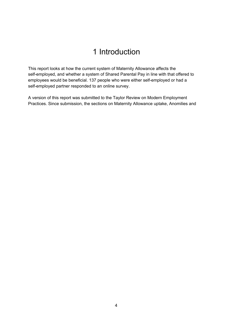### 1 Introduction

<span id="page-3-0"></span>This report looks at how the current system of Maternity Allowance affects the self-employed, and whether a system of Shared Parental Pay in line with that offered to employees would be beneficial. 137 people who were either self-employed or had a self-employed partner responded to an online survey.

A version of this report was submitted to the Taylor Review on Modern Employment Practices. Since submission, the sections on Maternity Allowance uptake, Anomilies and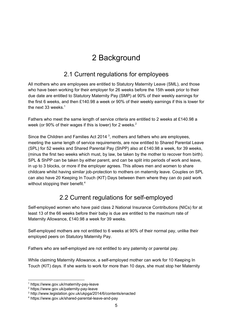# 2 Background

#### 2.1 Current regulations for employees

<span id="page-4-2"></span><span id="page-4-1"></span>All mothers who are employees are entitled to Statutory Maternity Leave (SML), and those who have been working for their employer for 26 weeks before the 15th week prior to their due date are entitled to Statutory Maternity Pay (SMP) at 90% of their weekly earnings for the first 6 weeks, and then £140.98 a week or 90% of their weekly earnings if this is lower for the next 33 weeks. 1

Fathers who meet the same length of service criteria are entitled to 2 weeks at £140.98 a week (or 90% of their wages if this is lower) for 2 weeks.<sup>2</sup>

Since the Children and Families Act 2014<sup>3</sup>, mothers and fathers who are employees, meeting the same length of service requirements, are now entitled to Shared Parental Leave (SPL) for 52 weeks and Shared Parental Pay (ShPP) also at £140.98 a week, for 39 weeks, (minus the first two weeks which must, by law, be taken by the mother to recover from birth). SPL & ShPP can be taken by either parent, and can be split into periods of work and leave, in up to 3 blocks, or more if the employer agrees. This allows men and women to share childcare whilst having similar job-protection to mothers on maternity leave. Couples on SPL can also have 20 Keeping In Touch (KIT) Days between them where they can do paid work without stopping their benefit.<sup>4</sup>

### 2.2 Current regulations for self-employed

<span id="page-4-0"></span>Self-employed women who have paid class 2 National Insurance Contributions (NICs) for at least 13 of the 66 weeks before their baby is due are entitled to the maximum rate of Maternity Allowance, £140.98 a week for 39 weeks.

Self-employed mothers are not entitled to 6 weeks at 90% of their normal pay, unlike their employed peers on Statutory Maternity Pay.

Fathers who are self-employed are not entitled to any paternity or parental pay.

While claiming Maternity Allowance, a self-employed mother can work for 10 Keeping In Touch (KIT) days. If she wants to work for more than 10 days, she must stop her Maternity

<sup>1</sup> https://www.gov.uk/maternity-pay-leave

<sup>2</sup> https://www.gov.uk/paternity-pay-leave

<sup>3</sup> http://www.legislation.gov.uk/ukpga/2014/6/contents/enacted

<sup>4</sup> https://www.gov.uk/shared-parental-leave-and-pay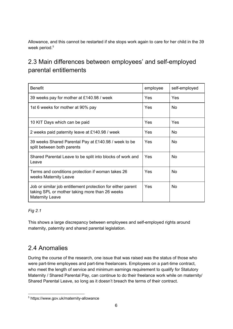Allowance, and this cannot be restarted if she stops work again to care for her child in the 39 week period. 5

### <span id="page-5-1"></span>2.3 Main differences between employees' and self-employed parental entitlements

| <b>Benefit</b>                                                                                                                          | employee | self-employed |
|-----------------------------------------------------------------------------------------------------------------------------------------|----------|---------------|
| 39 weeks pay for mother at £140.98 / week                                                                                               | Yes      | Yes           |
| 1st 6 weeks for mother at 90% pay                                                                                                       | Yes      | No.           |
| 10 KIT Days which can be paid                                                                                                           | Yes      | Yes           |
| 2 weeks paid paternity leave at £140.98 / week                                                                                          | Yes      | <b>No</b>     |
| 39 weeks Shared Parental Pay at £140.98 / week to be<br>split between both parents                                                      | Yes      | <b>No</b>     |
| Shared Parental Leave to be split into blocks of work and<br>Leave                                                                      | Yes      | <b>No</b>     |
| Terms and conditions protection if woman takes 26<br>weeks Maternity Leave                                                              | Yes      | <b>No</b>     |
| Job or similar job entitlement protection for either parent<br>taking SPL or mother taking more than 26 weeks<br><b>Maternity Leave</b> | Yes      | <b>No</b>     |

#### *Fig 2.1*

This shows a large discrepancy between employees and self-employed rights around maternity, paternity and shared parental legislation.

#### <span id="page-5-0"></span>2.4 Anomalies

During the course of the research, one issue that was raised was the status of those who were part-time employees and part-time freelancers. Employees on a part-time contract, who meet the length of service and minimum earnings requirement to qualify for Statutory Maternity / Shared Parental Pay, can continue to do their freelance work while on maternity/ Shared Parental Leave, so long as it doesn't breach the terms of their contract.

<sup>5</sup> https://www.gov.uk/maternity-allowance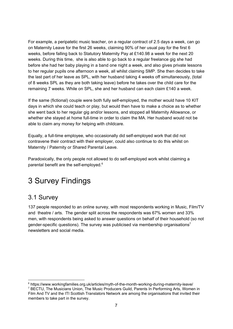For example, a peripatetic music teacher, on a regular contract of 2.5 days a week, can go on Maternity Leave for the first 26 weeks, claiming 90% of her usual pay for the first 6 weeks, before falling back to Statutory Maternity Pay at £140.98 a week for the next 20 weeks. During this time, she is also able to go back to a regular freelance gig she had before she had her baby playing in a band one night a week, and also gives private lessons to her regular pupils one afternoon a week, all whilst claiming SMP. She then decides to take the last part of her leave as SPL, with her husband taking 4 weeks off simultaneously, (total of 8 weeks SPL as they are both taking leave) before he takes over the child care for the remaining 7 weeks. While on SPL, she and her husband can each claim £140 a week.

If the same (fictional) couple were both fully self-employed, the mother would have 10 KIT days in which she could teach or play, but would then have to make a choice as to whether she went back to her regular gig and/or lessons, and stopped all Maternity Allowance, or whether she stayed at home full-time in order to claim the MA. Her husband would not be able to claim any money for helping with childcare.

Equally, a full-time employee, who occasionally did self-employed work that did not contravene their contract with their employer, could also continue to do this whilst on Maternity / Paternity or Shared Parental Leave.

Paradoxically, the only people not allowed to do self-employed work whilst claiming a parental benefit are the self-employed. 6

# <span id="page-6-0"></span>3 Survey Findings

#### <span id="page-6-1"></span>3.1 Survey

137 people responded to an online survey, with most respondents working in Music, Film/TV and theatre / arts. The gender split across the respondents was 67% women and 33% men, with respondents being asked to answer questions on behalf of their household (so not gender-specific questions). The survey was publicised via membership organisations<sup>7</sup> newsletters and social media.

 $6$  https://www.workingfamilies.org.uk/articles/myth-of-the-month-working-during-maternity-leave/ <sup>7</sup> BECTU, The Musicians Union, The Music Producers Guild, Parents In Performing Arts, Women in Film And TV and the ITI Scottish Translators Network are among the organisations that invited their members to take part in the survey.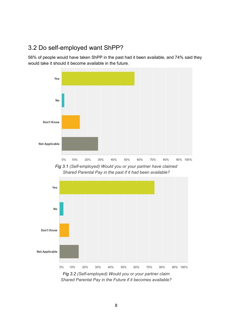#### <span id="page-7-0"></span>3.2 Do self-employed want ShPP?

56% of people would have taken ShPP in the past had it been available, and 74% said they would take it should it become available in the future.



*Fig 3.1 (Self-employed) Would you or your partner have claimed Shared Parental Pay in the past if it had been available?*



*Shared Parental Pay in the Future if it becomes available?*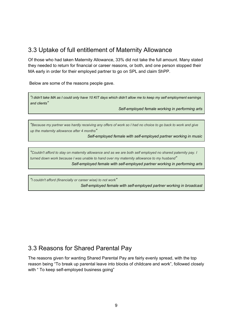#### <span id="page-8-0"></span>3.3 Uptake of full entitlement of Maternity Allowance

Of those who had taken Maternity Allowance, 33% did not take the full amount. Many stated they needed to return for financial or career reasons, or both, and one person stopped their MA early in order for their employed partner to go on SPL and claim ShPP.

Below are some of the reasons people gave.

*"I didn't take MA as I could only have 10 KIT days which didn't allow me to keep my self employment earnings and clients"*

*Self-employed female working in performing arts*

*"Because my partner was hardly receiving any offers of work so I had no choice to go back to work and give up the maternity allowance after 4 months"*

*Self-employed female with self-employed partner working in music*

*"Couldn't afford to stay on maternity allowance and as we are both self employed no shared paternity pay. I turned down work because I was unable to hand over my maternity allowance to my husband" Self-employed female with self-employed partner working in performing arts*

*"I couldn't afford (financially or career wise) to not work" Self-employed female with self-employed partner working in broadcast*

#### <span id="page-8-1"></span>3.3 Reasons for Shared Parental Pay

The reasons given for wanting Shared Parental Pay are fairly evenly spread, with the top reason being "To break up parental leave into blocks of childcare and work", followed closely with " To keep self-employed business going"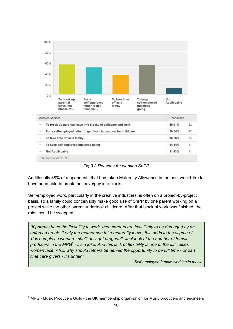

*Fig 3.3 Reasons for wanting ShPP*

Additionally 88% of respondents that had taken Maternity Allowance in the past would like to have been able to break the leave/pay into blocks.

Self-employed work, particularly in the creative industries, is often on a project-by-project basis, so a family could conceivably make good use of ShPP by one parent working on a project while the other parent undertook childcare. After that block of work was finished, the roles could be swapped.

*"If parents have the flexibility to work, then careers are less likely to be damaged by an enforced break. If only the mother can take maternity leave, this adds to the stigma of 'don't employ a woman - she'll only get pregnant'. Just look at the number of female* producers in the MPG<sup>8</sup> - it's a joke. And this lack of flexibility is one of the difficulties *women face. Also, why should fathers be denied the opportunity to be full time - or part time care givers - it's unfair."*

*Self-employed female working in music*

<sup>&</sup>lt;sup>8</sup> MPG - Music Producers Guild - the UK membership organisation for Music producers and engineers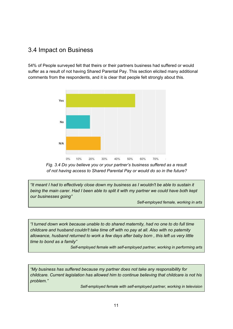#### <span id="page-10-0"></span>3.4 Impact on Business

54% of People surveyed felt that theirs or their partners business had suffered or would suffer as a result of not having Shared Parental Pay. This section elicited many additional comments from the respondents, and it is clear that people felt strongly about this.



*Fig. 3.4 Do you believe you or your partner's business suffered as a result of not having access to Shared Parental Pay or would do so in the future?*

*"It meant I had to effectively close down my business as I wouldn't be able to sustain it being the main carer. Had I been able to split it with my partner we could have both kept our businesses going"*

*Self-employed female, working in arts*

*"I turned down work because unable to do shared maternity, had no one to do full time childcare and husband couldn't take time off with no pay at all. Also with no paternity allowance, husband returned to work a few days after baby born , this left us very little time to bond as a family"*

*Self-employed female with self-employed partner, working in performing arts*

*"My business has suffered because my partner does not take any responsibility for childcare. Current legislation has allowed him to continue believing that childcare is not his problem."*

*Self-employed female with self-employed partner, working in television*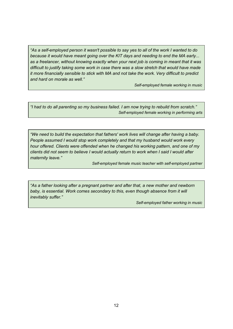*"As a self-employed person it wasn't possible to say yes to all of the work I wanted to do because it would have meant going over the KIT days and needing to end the MA early... as a freelancer, without knowing exactly when your next job is coming in meant that it was difficult to justify taking some work in case there was a slow stretch that would have made it more financially sensible to stick with MA and not take the work. Very difficult to predict and hard on morale as well."*

*Self-employed female working in music*

*"I had to do all parenting so my business failed. I am now trying to rebuild from scratch." Self-employed female working in performing arts*

*"We need to build the expectation that fathers' work lives will change after having a baby. People assumed I would stop work completely and that my husband would work every hour offered. Clients were offended when he changed his working pattern, and one of my clients did not seem to believe I would actually return to work when I said I would after maternity leave."*

*Self-employed female music teacher with self-employed partner*

*"As a father looking after a pregnant partner and after that, a new mother and newborn baby, is essential. Work comes secondary to this, even though absence from it will inevitably suffer."*

*Self-employed father working in music*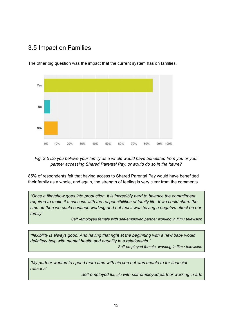#### <span id="page-12-0"></span>3.5 Impact on Families



The other big question was the impact that the current system has on families.

#### *Fig. 3.5 Do you believe your family as a whole would have benefitted from you or your partner accessing Shared Parental Pay, or would do so in the future?*

85% of respondents felt that having access to Shared Parental Pay would have benefitted their family as a whole, and again, the strength of feeling is very clear from the comments.

*"Once a film/show goes into production, it is incredibly hard to balance the commitment required to make it a success with the responsibilities of family life. If we could share the time off then we could continue working and not feel it was having a negative effect on our family"*

*Self -employed female with self-employed partner working in film / television*

*"flexibility is always good. And having that right at the beginning with a new baby would definitely help with mental health and equality in a relationship."*

*Self-employed female, working in film / television*

*"My partner wanted to spend more time with his son but was unable to for financial reasons"*

*Self-employed female with self-employed partner working in arts*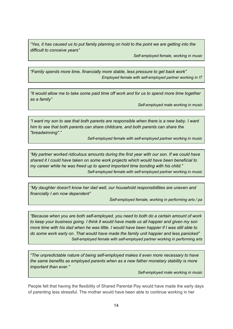*"Yes, it has caused us to put family planning on hold to the point we are getting into the difficult to conceive years"*

*Self-employed female, working in music*

*"Family spends more time, financially more stable, less pressure to get back work" Employed female with self-employed partner working in IT*

*"It would allow me to take some paid time off work and for us to spend more time together as a family"*

*Self-employed male working in music*

*"I want my son to see that both parents are responsible when there is a new baby. I want him to see that both parents can share childcare, and both parents can share the "breadwinning"."*

*Self-employed female with self-employed partner working in music*

*"My partner worked ridiculous amounts during the first year with our son. If we could have shared it I could have taken on some work projects which would have been beneficial to my career while he was freed up to spend important time bonding with his child." Self-employed female with self-employed partner working in music*

*"My daughter doesn't know her dad well, our household responsibilities are uneven and financially I am now dependent"*

*Self-employed female, working in performing arts / pa*

*"Because when you are both self-employed, you need to both do a certain amount of work to keep your business going. I think it would have made us all happier and given my son* more time with his dad when he was little. I would have been happier if I was still able to *do some work early on. That would have made the family unit happier and less panicked" Self-employed female with self-employed partner working in performing arts*

*"The unpredictable nature of being self-employed makes it even more necessary to have the same benefits as employed parents when as a new father monetary stability is more important than ever."*

*Self-employed male working in music*

People felt that having the flexibility of Shared Parental Pay would have made the early days of parenting less stressful. The mother would have been able to continue working in her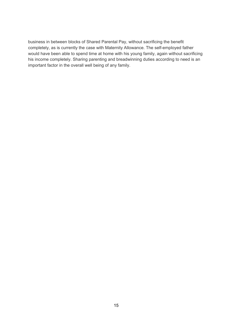business in between blocks of Shared Parental Pay, without sacrificing the benefit completely, as is currently the case with Maternity Allowance. The self-employed father would have been able to spend time at home with his young family, again without sacrificing his income completely. Sharing parenting and breadwinning duties according to need is an important factor in the overall well being of any family.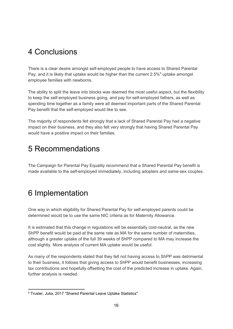### <span id="page-15-1"></span>4 Conclusions

There is a clear desire amongst self-employed people to have access to Shared Parental Pay, and it is likely that uptake would be higher than the current  $2.5\%$ <sup>9</sup> uptake amongst employee families with newborns.

The ability to split the leave into blocks was deemed the most useful aspect, but the flexibility to keep the self-employed business going, and pay for self-employed fathers, as well as spending time together as a family were all deemed important parts of the Shared Parental Pay benefit that the self-employed would like to see.

The majority of respondents felt strongly that a lack of Shared Parental Pay had a negative impact on their business, and they also felt very strongly that having Shared Parental Pay would have a positive impact on their families.

### <span id="page-15-2"></span>5 Recommendations

The Campaign for Parental Pay Equality recommend that a Shared Parental Pay benefit is made available to the self-employed immediately, including adopters and same-sex couples.

### <span id="page-15-0"></span>6 Implementation

One way in which eligibility for Shared Parental Pay for self-employed parents could be determined would be to use the same NIC criteria as for Maternity Allowance.

It is estimated that this change in regulations will be essentially cost-neutral, as the new ShPP benefit would be paid at the same rate as MA for the same number of maternities, although a greater uptake of the full 39 weeks of ShPP compared to MA may increase the cost slightly. More analysis of current MA uptake would be useful.

As many of the respondents stated that they felt not having access to ShPP was detrimental to their business, it follows that giving access to ShPP would benefit businesses, increasing tax contributions and hopefully offsetting the cost of the predicted increase in uptake. Again, further analysis is needed.

<sup>&</sup>lt;sup>9</sup> Trusler, Julia, 2017 "Shared Parental Leave Uptake Statistics"